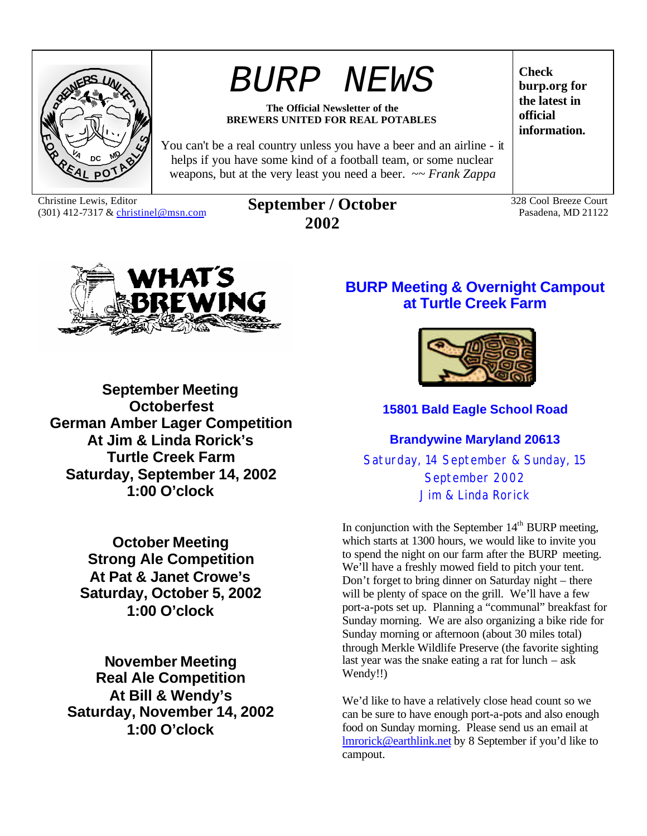

# *BURP NEWS*

#### **The Official Newsletter of the BREWERS UNITED FOR REAL POTABLES**

You can't be a real country unless you have a beer and an airline - it helps if you have some kind of a football team, or some nuclear weapons, but at the very least you need a beer. ~~ *Frank Zappa*

Christine Lewis, Editor<br>(301) 412-7317 & christinel@msn.com

### (301) 412-7317 & christinel@msn.com **September / October 2002**

**Check burp.org for the latest in official information.**

328 Cool Breeze Court Pasadena, MD 21122



**September Meeting Octoberfest German Amber Lager Competition At Jim & Linda Rorick's Turtle Creek Farm Saturday, September 14, 2002 1:00 O'clock**

> **October Meeting Strong Ale Competition At Pat & Janet Crowe's Saturday, October 5, 2002 1:00 O'clock**

**November Meeting Real Ale Competition At Bill & Wendy's Saturday, November 14, 2002 1:00 O'clock**

### **BURP Meeting & Overnight Campout at Turtle Creek Farm**



### **15801 Bald Eagle School Road**

**Brandywine Maryland 20613**

Saturday, 14 September & Sunday, 15 September 2002 Jim & Linda Rorick

In conjunction with the September 14<sup>th</sup> BURP meeting, which starts at 1300 hours, we would like to invite you to spend the night on our farm after the BURP meeting. We'll have a freshly mowed field to pitch your tent. Don't forget to bring dinner on Saturday night – there will be plenty of space on the grill. We'll have a few port-a-pots set up. Planning a "communal" breakfast for Sunday morning. We are also organizing a bike ride for Sunday morning or afternoon (about 30 miles total) through Merkle Wildlife Preserve (the favorite sighting last year was the snake eating a rat for lunch  $-$  ask Wendy!!)

We'd like to have a relatively close head count so we can be sure to have enough port-a-pots and also enough food on Sunday morning. Please send us an email at lmrorick@earthlink.net by 8 September if you'd like to campout.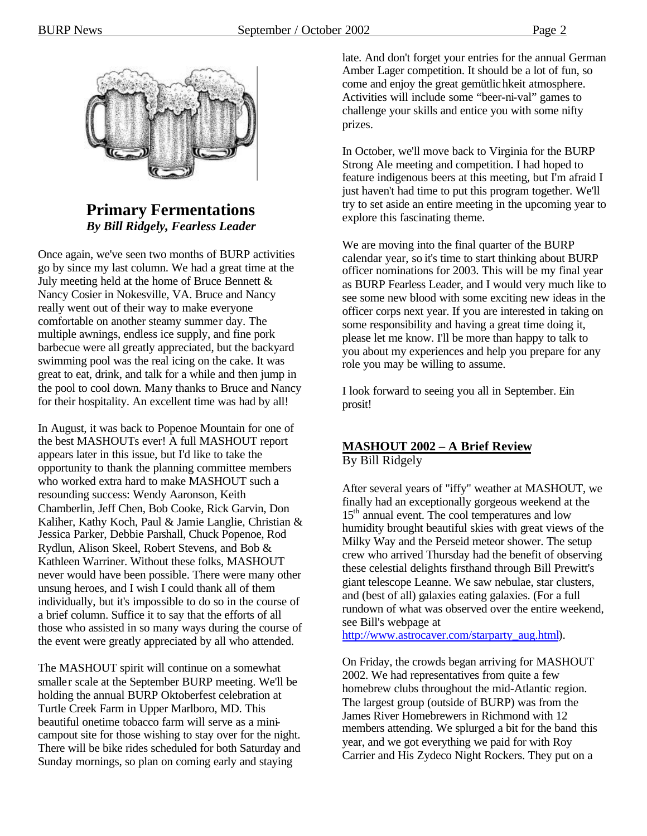

### **Primary Fermentations** *By Bill Ridgely, Fearless Leader*

Once again, we've seen two months of BURP activities go by since my last column. We had a great time at the July meeting held at the home of Bruce Bennett  $\&$ Nancy Cosier in Nokesville, VA. Bruce and Nancy really went out of their way to make everyone comfortable on another steamy summer day. The multiple awnings, endless ice supply, and fine pork barbecue were all greatly appreciated, but the backyard swimming pool was the real icing on the cake. It was great to eat, drink, and talk for a while and then jump in the pool to cool down. Many thanks to Bruce and Nancy for their hospitality. An excellent time was had by all!

In August, it was back to Popenoe Mountain for one of the best MASHOUTs ever! A full MASHOUT report appears later in this issue, but I'd like to take the opportunity to thank the planning committee members who worked extra hard to make MASHOUT such a resounding success: Wendy Aaronson, Keith Chamberlin, Jeff Chen, Bob Cooke, Rick Garvin, Don Kaliher, Kathy Koch, Paul & Jamie Langlie, Christian & Jessica Parker, Debbie Parshall, Chuck Popenoe, Rod Rydlun, Alison Skeel, Robert Stevens, and Bob & Kathleen Warriner. Without these folks, MASHOUT never would have been possible. There were many other unsung heroes, and I wish I could thank all of them individually, but it's impossible to do so in the course of a brief column. Suffice it to say that the efforts of all those who assisted in so many ways during the course of the event were greatly appreciated by all who attended.

The MASHOUT spirit will continue on a somewhat smaller scale at the September BURP meeting. We'll be holding the annual BURP Oktoberfest celebration at Turtle Creek Farm in Upper Marlboro, MD. This beautiful onetime tobacco farm will serve as a minicampout site for those wishing to stay over for the night. There will be bike rides scheduled for both Saturday and Sunday mornings, so plan on coming early and staying

late. And don't forget your entries for the annual German Amber Lager competition. It should be a lot of fun, so come and enjoy the great gemütlichkeit atmosphere. Activities will include some "beer-ni-val" games to challenge your skills and entice you with some nifty prizes.

In October, we'll move back to Virginia for the BURP Strong Ale meeting and competition. I had hoped to feature indigenous beers at this meeting, but I'm afraid I just haven't had time to put this program together. We'll try to set aside an entire meeting in the upcoming year to explore this fascinating theme.

We are moving into the final quarter of the BURP calendar year, so it's time to start thinking about BURP officer nominations for 2003. This will be my final year as BURP Fearless Leader, and I would very much like to see some new blood with some exciting new ideas in the officer corps next year. If you are interested in taking on some responsibility and having a great time doing it, please let me know. I'll be more than happy to talk to you about my experiences and help you prepare for any role you may be willing to assume.

I look forward to seeing you all in September. Ein prosit!

### **MASHOUT 2002 – A Brief Review**

By Bill Ridgely

After several years of "iffy" weather at MASHOUT, we finally had an exceptionally gorgeous weekend at the 15<sup>th</sup> annual event. The cool temperatures and low humidity brought beautiful skies with great views of the Milky Way and the Perseid meteor shower. The setup crew who arrived Thursday had the benefit of observing these celestial delights firsthand through Bill Prewitt's giant telescope Leanne. We saw nebulae, star clusters, and (best of all) galaxies eating galaxies. (For a full rundown of what was observed over the entire weekend, see Bill's webpage at

http://www.astrocaver.com/starparty\_aug.html).

On Friday, the crowds began arriving for MASHOUT 2002. We had representatives from quite a few homebrew clubs throughout the mid-Atlantic region. The largest group (outside of BURP) was from the James River Homebrewers in Richmond with 12 members attending. We splurged a bit for the band this year, and we got everything we paid for with Roy Carrier and His Zydeco Night Rockers. They put on a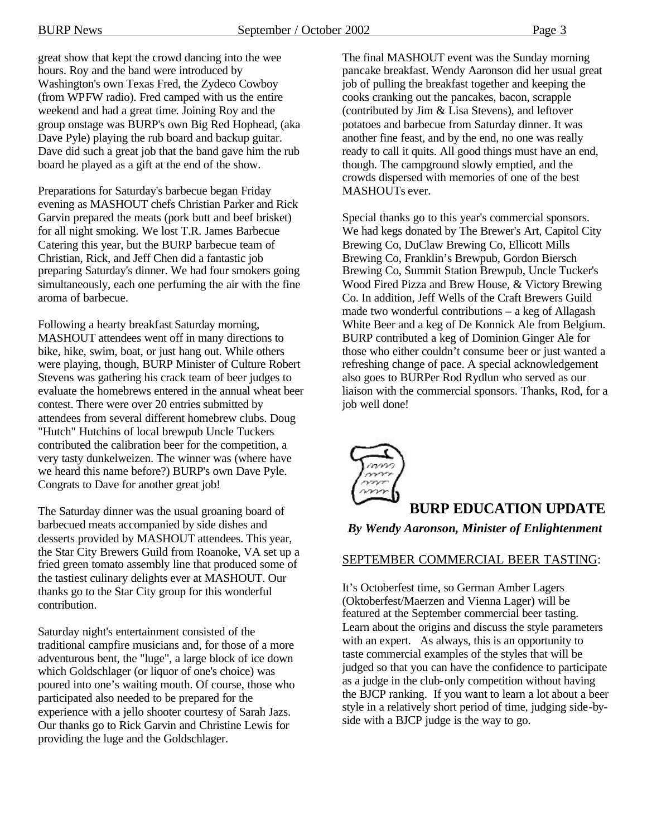great show that kept the crowd dancing into the wee hours. Roy and the band were introduced by Washington's own Texas Fred, the Zydeco Cowboy (from WPFW radio). Fred camped with us the entire weekend and had a great time. Joining Roy and the group onstage was BURP's own Big Red Hophead, (aka Dave Pyle) playing the rub board and backup guitar. Dave did such a great job that the band gave him the rub board he played as a gift at the end of the show.

Preparations for Saturday's barbecue began Friday evening as MASHOUT chefs Christian Parker and Rick Garvin prepared the meats (pork butt and beef brisket) for all night smoking. We lost T.R. James Barbecue Catering this year, but the BURP barbecue team of Christian, Rick, and Jeff Chen did a fantastic job preparing Saturday's dinner. We had four smokers going simultaneously, each one perfuming the air with the fine aroma of barbecue.

Following a hearty breakfast Saturday morning, MASHOUT attendees went off in many directions to bike, hike, swim, boat, or just hang out. While others were playing, though, BURP Minister of Culture Robert Stevens was gathering his crack team of beer judges to evaluate the homebrews entered in the annual wheat beer contest. There were over 20 entries submitted by attendees from several different homebrew clubs. Doug "Hutch" Hutchins of local brewpub Uncle Tuckers contributed the calibration beer for the competition, a very tasty dunkelweizen. The winner was (where have we heard this name before?) BURP's own Dave Pyle. Congrats to Dave for another great job!

The Saturday dinner was the usual groaning board of barbecued meats accompanied by side dishes and desserts provided by MASHOUT attendees. This year, the Star City Brewers Guild from Roanoke, VA set up a fried green tomato assembly line that produced some of the tastiest culinary delights ever at MASHOUT. Our thanks go to the Star City group for this wonderful contribution.

Saturday night's entertainment consisted of the traditional campfire musicians and, for those of a more adventurous bent, the "luge", a large block of ice down which Goldschlager (or liquor of one's choice) was poured into one's waiting mouth. Of course, those who participated also needed to be prepared for the experience with a jello shooter courtesy of Sarah Jazs. Our thanks go to Rick Garvin and Christine Lewis for providing the luge and the Goldschlager.

The final MASHOUT event was the Sunday morning pancake breakfast. Wendy Aaronson did her usual great job of pulling the breakfast together and keeping the cooks cranking out the pancakes, bacon, scrapple (contributed by Jim & Lisa Stevens), and leftover potatoes and barbecue from Saturday dinner. It was another fine feast, and by the end, no one was really ready to call it quits. All good things must have an end, though. The campground slowly emptied, and the crowds dispersed with memories of one of the best MASHOUTs ever.

Special thanks go to this year's commercial sponsors. We had kegs donated by The Brewer's Art, Capitol City Brewing Co, DuClaw Brewing Co, Ellicott Mills Brewing Co, Franklin's Brewpub, Gordon Biersch Brewing Co, Summit Station Brewpub, Uncle Tucker's Wood Fired Pizza and Brew House, & Victory Brewing Co. In addition, Jeff Wells of the Craft Brewers Guild made two wonderful contributions – a keg of Allagash White Beer and a keg of De Konnick Ale from Belgium. BURP contributed a keg of Dominion Ginger Ale for those who either couldn't consume beer or just wanted a refreshing change of pace. A special acknowledgement also goes to BURPer Rod Rydlun who served as our liaison with the commercial sponsors. Thanks, Rod, for a job well done!



### **BURP EDUCATION UPDATE**

#### *By Wendy Aaronson, Minister of Enlightenment*

#### SEPTEMBER COMMERCIAL BEER TASTING:

It's Octoberfest time, so German Amber Lagers (Oktoberfest/Maerzen and Vienna Lager) will be featured at the September commercial beer tasting. Learn about the origins and discuss the style parameters with an expert. As always, this is an opportunity to taste commercial examples of the styles that will be judged so that you can have the confidence to participate as a judge in the club-only competition without having the BJCP ranking. If you want to learn a lot about a beer style in a relatively short period of time, judging side-byside with a BJCP judge is the way to go.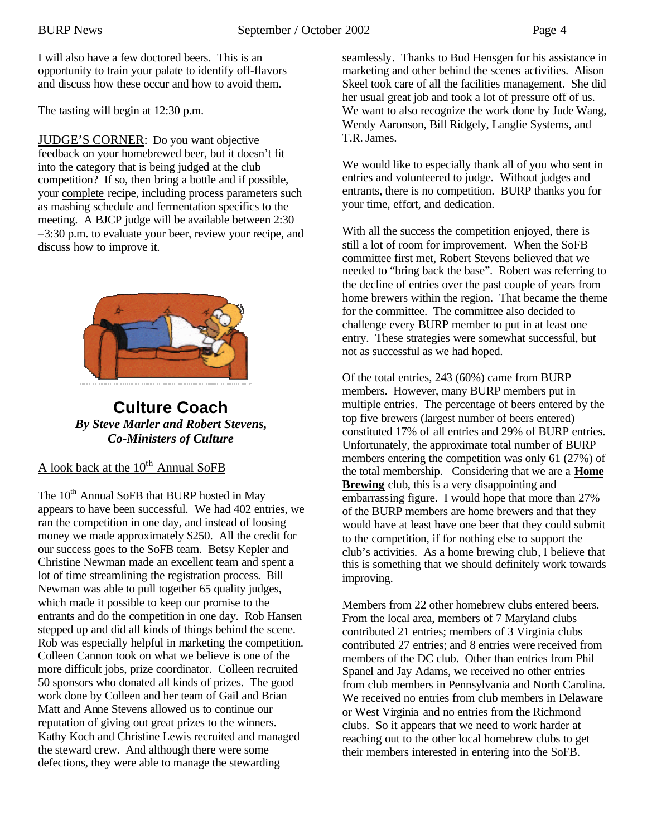I will also have a few doctored beers. This is an opportunity to train your palate to identify off-flavors and discuss how these occur and how to avoid them.

The tasting will begin at 12:30 p.m.

JUDGE'S CORNER: Do you want objective feedback on your homebrewed beer, but it doesn't fit into the category that is being judged at the club competition? If so, then bring a bottle and if possible, your complete recipe, including process parameters such as mashing schedule and fermentation specifics to the meeting. A BJCP judge will be available between 2:30 –3:30 p.m. to evaluate your beer, review your recipe, and discuss how to improve it.



**Culture Coach** *By Steve Marler and Robert Stevens, Co-Ministers of Culture*

A look back at the  $10^{th}$  Annual SoFB

The 10<sup>th</sup> Annual SoFB that BURP hosted in May appears to have been successful. We had 402 entries, we ran the competition in one day, and instead of loosing money we made approximately \$250. All the credit for our success goes to the SoFB team. Betsy Kepler and Christine Newman made an excellent team and spent a lot of time streamlining the registration process. Bill Newman was able to pull together 65 quality judges, which made it possible to keep our promise to the entrants and do the competition in one day. Rob Hansen stepped up and did all kinds of things behind the scene. Rob was especially helpful in marketing the competition. Colleen Cannon took on what we believe is one of the more difficult jobs, prize coordinator. Colleen recruited 50 sponsors who donated all kinds of prizes. The good work done by Colleen and her team of Gail and Brian Matt and Anne Stevens allowed us to continue our reputation of giving out great prizes to the winners. Kathy Koch and Christine Lewis recruited and managed the steward crew. And although there were some defections, they were able to manage the stewarding

seamlessly. Thanks to Bud Hensgen for his assistance in marketing and other behind the scenes activities. Alison Skeel took care of all the facilities management. She did her usual great job and took a lot of pressure off of us. We want to also recognize the work done by Jude Wang, Wendy Aaronson, Bill Ridgely, Langlie Systems, and T.R. James.

We would like to especially thank all of you who sent in entries and volunteered to judge. Without judges and entrants, there is no competition. BURP thanks you for your time, effort, and dedication.

With all the success the competition enjoyed, there is still a lot of room for improvement. When the SoFB committee first met, Robert Stevens believed that we needed to "bring back the base". Robert was referring to the decline of entries over the past couple of years from home brewers within the region. That became the theme for the committee. The committee also decided to challenge every BURP member to put in at least one entry. These strategies were somewhat successful, but not as successful as we had hoped.

Of the total entries, 243 (60%) came from BURP members. However, many BURP members put in multiple entries. The percentage of beers entered by the top five brewers (largest number of beers entered) constituted 17% of all entries and 29% of BURP entries. Unfortunately, the approximate total number of BURP members entering the competition was only 61 (27%) of the total membership. Considering that we are a **Home Brewing** club, this is a very disappointing and embarrassing figure. I would hope that more than 27% of the BURP members are home brewers and that they would have at least have one beer that they could submit to the competition, if for nothing else to support the club's activities. As a home brewing club, I believe that this is something that we should definitely work towards improving.

Members from 22 other homebrew clubs entered beers. From the local area, members of 7 Maryland clubs contributed 21 entries; members of 3 Virginia clubs contributed 27 entries; and 8 entries were received from members of the DC club. Other than entries from Phil Spanel and Jay Adams, we received no other entries from club members in Pennsylvania and North Carolina. We received no entries from club members in Delaware or West Virginia and no entries from the Richmond clubs. So it appears that we need to work harder at reaching out to the other local homebrew clubs to get their members interested in entering into the SoFB.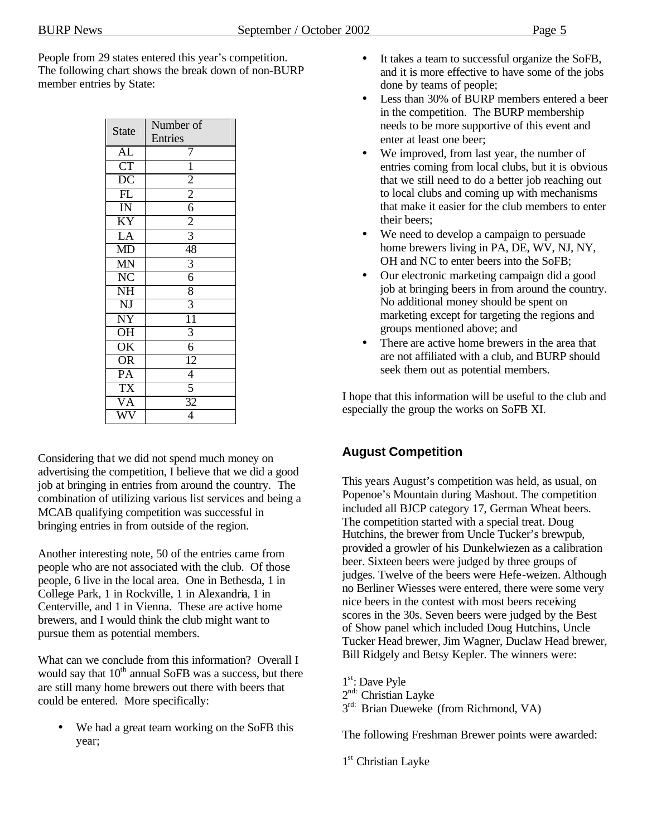People from 29 states entered this year's competition. The following chart shows the break down of non-BURP member entries by State:

| <b>State</b>           | Number of       |
|------------------------|-----------------|
|                        | Entries         |
| $A\overline{L}$        | 7               |
| $\overline{\text{CT}}$ | $\overline{1}$  |
| $\overline{DC}$        | $\overline{2}$  |
| $\overline{FL}$        | $\overline{2}$  |
| $\overline{\rm I}$     | $\frac{6}{2}$   |
| <b>KY</b>              |                 |
| LA                     | $\overline{3}$  |
| MD                     | 48              |
| MN                     | $\overline{3}$  |
| $\overline{\text{NC}}$ | $\overline{6}$  |
| $\overline{\text{NH}}$ | 8               |
| NJ                     | $\overline{3}$  |
| $\overline{\text{NY}}$ | $\overline{11}$ |
| $\overline{\text{OH}}$ | $\overline{3}$  |
| $\overline{\text{OK}}$ | $\overline{6}$  |
| $\overline{\text{OR}}$ | $\overline{12}$ |
| $\overline{PA}$        | $\overline{4}$  |
| $\overline{\text{TX}}$ | $\overline{5}$  |
| $\overline{\text{VA}}$ | 32              |
|                        | $\overline{4}$  |

Considering that we did not spend much money on advertising the competition, I believe that we did a good job at bringing in entries from around the country. The combination of utilizing various list services and being a MCAB qualifying competition was successful in bringing entries in from outside of the region.

Another interesting note, 50 of the entries came from people who are not associated with the club. Of those people, 6 live in the local area. One in Bethesda, 1 in College Park, 1 in Rockville, 1 in Alexandria, 1 in Centerville, and 1 in Vienna. These are active home brewers, and I would think the club might want to pursue them as potential members.

What can we conclude from this information? Overall I would say that  $10<sup>th</sup>$  annual SoFB was a success, but there are still many home brewers out there with beers that could be entered. More specifically:

We had a great team working on the SoFB this year;

- It takes a team to successful organize the SoFB, and it is more effective to have some of the jobs done by teams of people;
- Less than 30% of BURP members entered a beer in the competition. The BURP membership needs to be more supportive of this event and enter at least one beer;
- We improved, from last year, the number of entries coming from local clubs, but it is obvious that we still need to do a better job reaching out to local clubs and coming up with mechanisms that make it easier for the club members to enter their beers;
- We need to develop a campaign to persuade home brewers living in PA, DE, WV, NJ, NY, OH and NC to enter beers into the SoFB;
- Our electronic marketing campaign did a good job at bringing beers in from around the country. No additional money should be spent on marketing except for targeting the regions and groups mentioned above; and
- There are active home brewers in the area that are not affiliated with a club, and BURP should seek them out as potential members.

I hope that this information will be useful to the club and especially the group the works on SoFB XI.

### **August Competition**

This years August's competition was held, as usual, on Popenoe's Mountain during Mashout. The competition included all BJCP category 17, German Wheat beers. The competition started with a special treat. Doug Hutchins, the brewer from Uncle Tucker's brewpub, provided a growler of his Dunkelwiezen as a calibration beer. Sixteen beers were judged by three groups of judges. Twelve of the beers were Hefe-weizen. Although no Berliner Wiesses were entered, there were some very nice beers in the contest with most beers receiving scores in the 30s. Seven beers were judged by the Best of Show panel which included Doug Hutchins, Uncle Tucker Head brewer, Jim Wagner, Duclaw Head brewer, Bill Ridgely and Betsy Kepler. The winners were:

1<sup>st</sup>: Dave Pyle

- 2<sup>nd:</sup> Christian Layke
- $3^{\text{rd}}$ : Brian Dueweke (from Richmond, VA)

The following Freshman Brewer points were awarded:

1<sup>st</sup> Christian Layke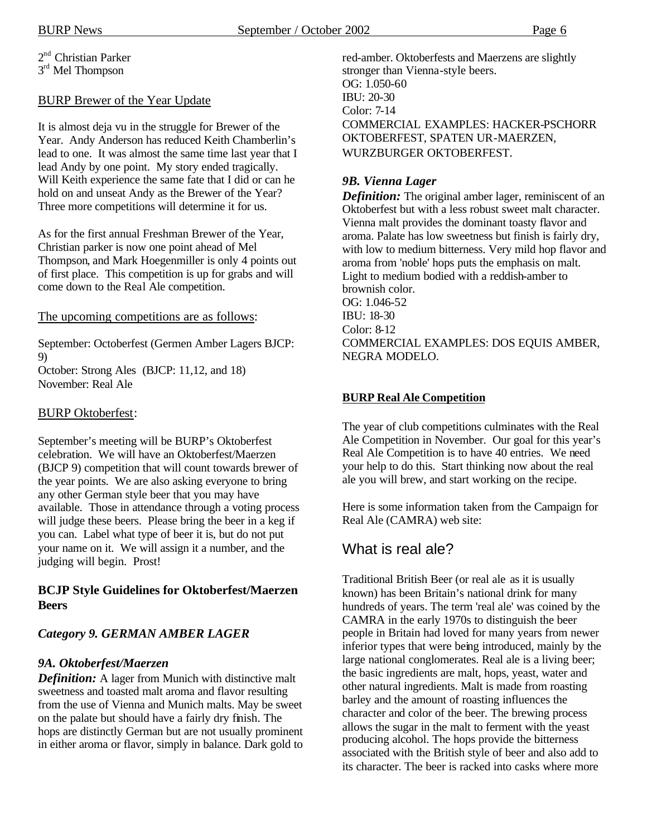2<sup>nd</sup> Christian Parker 3<sup>rd</sup> Mel Thompson

#### BURP Brewer of the Year Update

It is almost deja vu in the struggle for Brewer of the Year. Andy Anderson has reduced Keith Chamberlin's lead to one. It was almost the same time last year that I lead Andy by one point. My story ended tragically. Will Keith experience the same fate that I did or can he hold on and unseat Andy as the Brewer of the Year? Three more competitions will determine it for us.

As for the first annual Freshman Brewer of the Year, Christian parker is now one point ahead of Mel Thompson, and Mark Hoegenmiller is only 4 points out of first place. This competition is up for grabs and will come down to the Real Ale competition.

#### The upcoming competitions are as follows:

September: Octoberfest (Germen Amber Lagers BJCP: 9)

October: Strong Ales (BJCP: 11,12, and 18) November: Real Ale

#### BURP Oktoberfest:

September's meeting will be BURP's Oktoberfest celebration. We will have an Oktoberfest/Maerzen (BJCP 9) competition that will count towards brewer of the year points. We are also asking everyone to bring any other German style beer that you may have available. Those in attendance through a voting process will judge these beers. Please bring the beer in a keg if you can. Label what type of beer it is, but do not put your name on it. We will assign it a number, and the judging will begin. Prost!

#### **BCJP Style Guidelines for Oktoberfest/Maerzen Beers**

#### *Category 9. GERMAN AMBER LAGER*

#### *9A. Oktoberfest/Maerzen*

*Definition:* A lager from Munich with distinctive malt sweetness and toasted malt aroma and flavor resulting from the use of Vienna and Munich malts. May be sweet on the palate but should have a fairly dry finish. The hops are distinctly German but are not usually prominent in either aroma or flavor, simply in balance. Dark gold to

red-amber. Oktoberfests and Maerzens are slightly stronger than Vienna-style beers. OG: 1.050-60 IBU: 20-30 Color: 7-14 COMMERCIAL EXAMPLES: HACKER-PSCHORR OKTOBERFEST, SPATEN UR-MAERZEN, WURZBURGER OKTOBERFEST.

#### *9B. Vienna Lager*

*Definition:* The original amber lager, reminiscent of an Oktoberfest but with a less robust sweet malt character. Vienna malt provides the dominant toasty flavor and aroma. Palate has low sweetness but finish is fairly dry, with low to medium bitterness. Very mild hop flavor and aroma from 'noble' hops puts the emphasis on malt. Light to medium bodied with a reddish-amber to brownish color. OG: 1.046-52 IBU: 18-30 Color: 8-12 COMMERCIAL EXAMPLES: DOS EQUIS AMBER, NEGRA MODELO.

#### **BURP Real Ale Competition**

The year of club competitions culminates with the Real Ale Competition in November. Our goal for this year's Real Ale Competition is to have 40 entries. We need your help to do this. Start thinking now about the real ale you will brew, and start working on the recipe.

Here is some information taken from the Campaign for Real Ale (CAMRA) web site:

### What is real ale?

Traditional British Beer (or real ale as it is usually known) has been Britain's national drink for many hundreds of years. The term 'real ale' was coined by the CAMRA in the early 1970s to distinguish the beer people in Britain had loved for many years from newer inferior types that were being introduced, mainly by the large national conglomerates. Real ale is a living beer; the basic ingredients are malt, hops, yeast, water and other natural ingredients. Malt is made from roasting barley and the amount of roasting influences the character and color of the beer. The brewing process allows the sugar in the malt to ferment with the yeast producing alcohol. The hops provide the bitterness associated with the British style of beer and also add to its character. The beer is racked into casks where more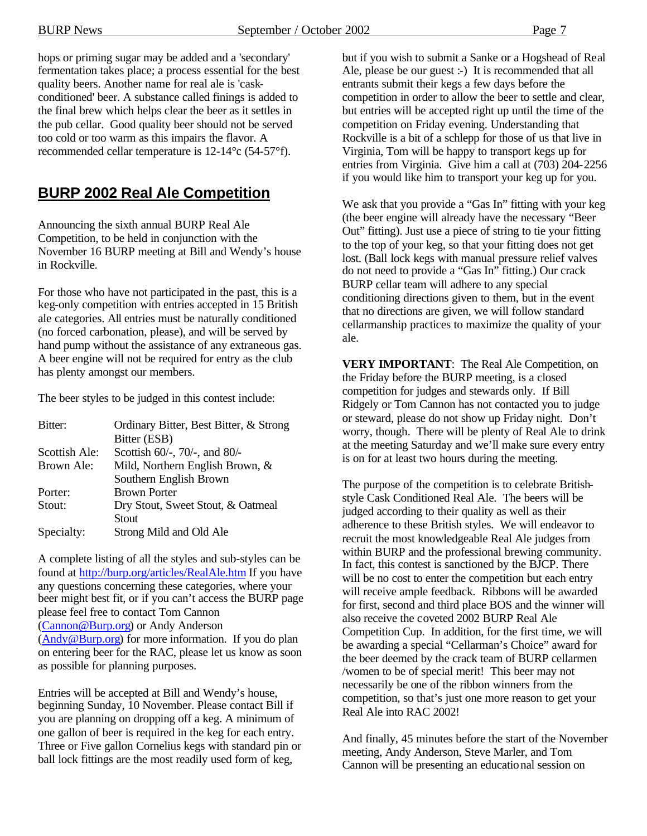hops or priming sugar may be added and a 'secondary' fermentation takes place; a process essential for the best quality beers. Another name for real ale is 'caskconditioned' beer. A substance called finings is added to the final brew which helps clear the beer as it settles in the pub cellar. Good quality beer should not be served too cold or too warm as this impairs the flavor. A recommended cellar temperature is 12-14°c (54-57°f).

### **BURP 2002 Real Ale Competition**

Announcing the sixth annual BURP Real Ale Competition, to be held in conjunction with the November 16 BURP meeting at Bill and Wendy's house in Rockville.

For those who have not participated in the past, this is a keg-only competition with entries accepted in 15 British ale categories. All entries must be naturally conditioned (no forced carbonation, please), and will be served by hand pump without the assistance of any extraneous gas. A beer engine will not be required for entry as the club has plenty amongst our members.

The beer styles to be judged in this contest include:

| Bitter:       | Ordinary Bitter, Best Bitter, & Strong |  |
|---------------|----------------------------------------|--|
|               | Bitter (ESB)                           |  |
| Scottish Ale: | Scottish 60/-, 70/-, and 80/-          |  |
| Brown Ale:    | Mild, Northern English Brown, $\&$     |  |
|               | Southern English Brown                 |  |
| Porter:       | <b>Brown Porter</b>                    |  |
| Stout:        | Dry Stout, Sweet Stout, & Oatmeal      |  |
|               | <b>Stout</b>                           |  |
| Specialty:    | Strong Mild and Old Ale                |  |

A complete listing of all the styles and sub-styles can be found at http://burp.org/articles/RealAle.htm If you have any questions concerning these categories, where your beer might best fit, or if you can't access the BURP page please feel free to contact Tom Cannon (Cannon@Burp.org) or Andy Anderson (Andy@Burp.org) for more information. If you do plan on entering beer for the RAC, please let us know as soon as possible for planning purposes.

Entries will be accepted at Bill and Wendy's house, beginning Sunday, 10 November. Please contact Bill if you are planning on dropping off a keg. A minimum of one gallon of beer is required in the keg for each entry. Three or Five gallon Cornelius kegs with standard pin or ball lock fittings are the most readily used form of keg,

but if you wish to submit a Sanke or a Hogshead of Real Ale, please be our guest :-) It is recommended that all entrants submit their kegs a few days before the competition in order to allow the beer to settle and clear, but entries will be accepted right up until the time of the competition on Friday evening. Understanding that Rockville is a bit of a schlepp for those of us that live in Virginia, Tom will be happy to transport kegs up for entries from Virginia. Give him a call at (703) 204-2256 if you would like him to transport your keg up for you.

We ask that you provide a "Gas In" fitting with your keg (the beer engine will already have the necessary "Beer Out" fitting). Just use a piece of string to tie your fitting to the top of your keg, so that your fitting does not get lost. (Ball lock kegs with manual pressure relief valves do not need to provide a "Gas In" fitting.) Our crack BURP cellar team will adhere to any special conditioning directions given to them, but in the event that no directions are given, we will follow standard cellarmanship practices to maximize the quality of your ale.

**VERY IMPORTANT:** The Real Ale Competition, on the Friday before the BURP meeting, is a closed competition for judges and stewards only. If Bill Ridgely or Tom Cannon has not contacted you to judge or steward, please do not show up Friday night. Don't worry, though. There will be plenty of Real Ale to drink at the meeting Saturday and we'll make sure every entry is on for at least two hours during the meeting.

The purpose of the competition is to celebrate Britishstyle Cask Conditioned Real Ale. The beers will be judged according to their quality as well as their adherence to these British styles. We will endeavor to recruit the most knowledgeable Real Ale judges from within BURP and the professional brewing community. In fact, this contest is sanctioned by the BJCP. There will be no cost to enter the competition but each entry will receive ample feedback. Ribbons will be awarded for first, second and third place BOS and the winner will also receive the coveted 2002 BURP Real Ale Competition Cup. In addition, for the first time, we will be awarding a special "Cellarman's Choice" award for the beer deemed by the crack team of BURP cellarmen /women to be of special merit! This beer may not necessarily be one of the ribbon winners from the competition, so that's just one more reason to get your Real Ale into RAC 2002!

And finally, 45 minutes before the start of the November meeting, Andy Anderson, Steve Marler, and Tom Cannon will be presenting an educational session on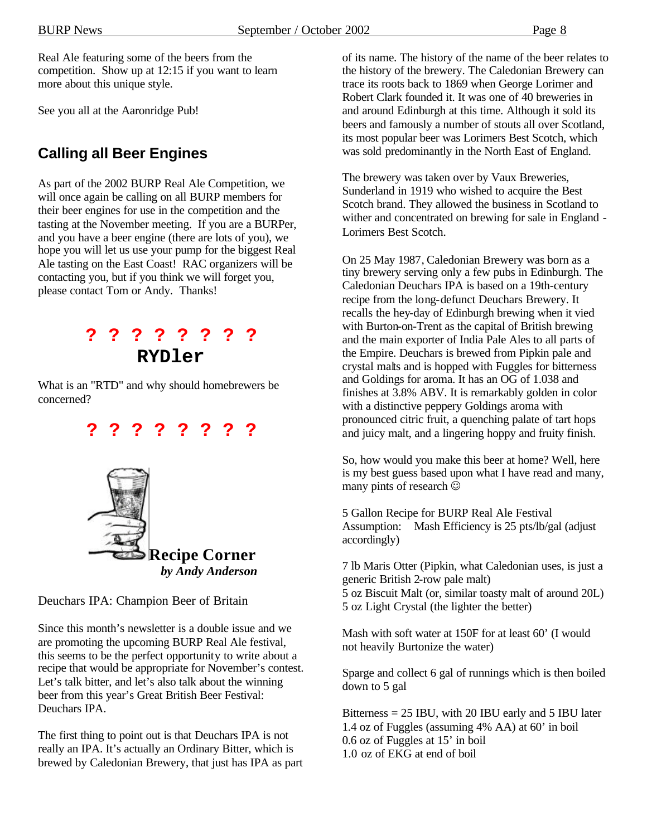Real Ale featuring some of the beers from the competition. Show up at 12:15 if you want to learn more about this unique style.

See you all at the Aaronridge Pub!

### **Calling all Beer Engines**

As part of the 2002 BURP Real Ale Competition, we will once again be calling on all BURP members for their beer engines for use in the competition and the tasting at the November meeting. If you are a BURPer, and you have a beer engine (there are lots of you), we hope you will let us use your pump for the biggest Real Ale tasting on the East Coast! RAC organizers will be contacting you, but if you think we will forget you, please contact Tom or Andy. Thanks!

### **? ? ? ? ? ? ? ? RYDler**

What is an "RTD" and why should homebrewers be concerned?

## **? ? ? ? ? ? ? ?**



Deuchars IPA: Champion Beer of Britain

Since this month's newsletter is a double issue and we are promoting the upcoming BURP Real Ale festival, this seems to be the perfect opportunity to write about a recipe that would be appropriate for November's contest. Let's talk bitter, and let's also talk about the winning beer from this year's Great British Beer Festival: Deuchars IPA.

The first thing to point out is that Deuchars IPA is not really an IPA. It's actually an Ordinary Bitter, which is brewed by Caledonian Brewery, that just has IPA as part of its name. The history of the name of the beer relates to the history of the brewery. The Caledonian Brewery can trace its roots back to 1869 when George Lorimer and Robert Clark founded it. It was one of 40 breweries in and around Edinburgh at this time. Although it sold its beers and famously a number of stouts all over Scotland, its most popular beer was Lorimers Best Scotch, which was sold predominantly in the North East of England.

The brewery was taken over by Vaux Breweries, Sunderland in 1919 who wished to acquire the Best Scotch brand. They allowed the business in Scotland to wither and concentrated on brewing for sale in England - Lorimers Best Scotch.

On 25 May 1987, Caledonian Brewery was born as a tiny brewery serving only a few pubs in Edinburgh. The Caledonian Deuchars IPA is based on a 19th-century recipe from the long-defunct Deuchars Brewery. It recalls the hey-day of Edinburgh brewing when it vied with Burton-on-Trent as the capital of British brewing and the main exporter of India Pale Ales to all parts of the Empire. Deuchars is brewed from Pipkin pale and crystal malts and is hopped with Fuggles for bitterness and Goldings for aroma. It has an OG of 1.038 and finishes at 3.8% ABV. It is remarkably golden in color with a distinctive peppery Goldings aroma with pronounced citric fruit, a quenching palate of tart hops and juicy malt, and a lingering hoppy and fruity finish.

So, how would you make this beer at home? Well, here is my best guess based upon what I have read and many, many pints of research  $\odot$ 

5 Gallon Recipe for BURP Real Ale Festival Assumption: Mash Efficiency is 25 pts/lb/gal (adjust accordingly)

7 lb Maris Otter (Pipkin, what Caledonian uses, is just a generic British 2-row pale malt) 5 oz Biscuit Malt (or, similar toasty malt of around 20L) 5 oz Light Crystal (the lighter the better)

Mash with soft water at 150F for at least 60' (I would not heavily Burtonize the water)

Sparge and collect 6 gal of runnings which is then boiled down to 5 gal

Bitterness  $= 25$  IBU, with 20 IBU early and 5 IBU later 1.4 oz of Fuggles (assuming 4% AA) at 60' in boil 0.6 oz of Fuggles at 15' in boil 1.0 oz of EKG at end of boil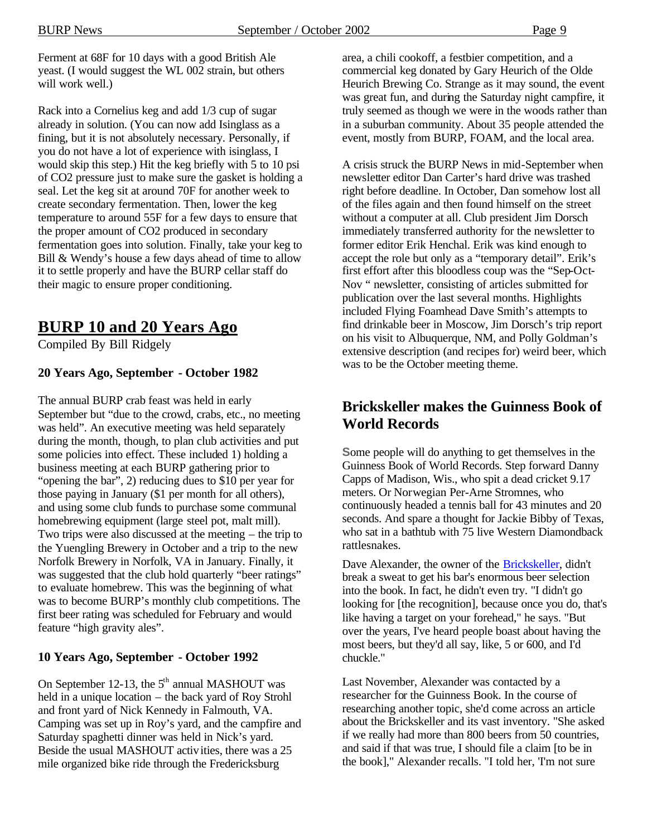Ferment at 68F for 10 days with a good British Ale yeast. (I would suggest the WL 002 strain, but others will work well.)

Rack into a Cornelius keg and add 1/3 cup of sugar already in solution. (You can now add Isinglass as a fining, but it is not absolutely necessary. Personally, if you do not have a lot of experience with isinglass, I would skip this step.) Hit the keg briefly with 5 to 10 psi of CO2 pressure just to make sure the gasket is holding a seal. Let the keg sit at around 70F for another week to create secondary fermentation. Then, lower the keg temperature to around 55F for a few days to ensure that the proper amount of CO2 produced in secondary fermentation goes into solution. Finally, take your keg to Bill & Wendy's house a few days ahead of time to allow it to settle properly and have the BURP cellar staff do their magic to ensure proper conditioning.

### **BURP 10 and 20 Years Ago**

Compiled By Bill Ridgely

#### **20 Years Ago, September - October 1982**

The annual BURP crab feast was held in early September but "due to the crowd, crabs, etc., no meeting was held". An executive meeting was held separately during the month, though, to plan club activities and put some policies into effect. These included 1) holding a business meeting at each BURP gathering prior to "opening the bar", 2) reducing dues to \$10 per year for those paying in January (\$1 per month for all others), and using some club funds to purchase some communal homebrewing equipment (large steel pot, malt mill). Two trips were also discussed at the meeting – the trip to the Yuengling Brewery in October and a trip to the new Norfolk Brewery in Norfolk, VA in January. Finally, it was suggested that the club hold quarterly "beer ratings" to evaluate homebrew. This was the beginning of what was to become BURP's monthly club competitions. The first beer rating was scheduled for February and would feature "high gravity ales".

#### **10 Years Ago, September - October 1992**

On September 12-13, the  $5<sup>th</sup>$  annual MASHOUT was held in a unique location – the back yard of Roy Strohl and front yard of Nick Kennedy in Falmouth, VA. Camping was set up in Roy's yard, and the campfire and Saturday spaghetti dinner was held in Nick's yard. Beside the usual MASHOUT activities, there was a 25 mile organized bike ride through the Fredericksburg

area, a chili cookoff, a festbier competition, and a commercial keg donated by Gary Heurich of the Olde Heurich Brewing Co. Strange as it may sound, the event was great fun, and during the Saturday night campfire, it truly seemed as though we were in the woods rather than in a suburban community. About 35 people attended the event, mostly from BURP, FOAM, and the local area.

A crisis struck the BURP News in mid-September when newsletter editor Dan Carter's hard drive was trashed right before deadline. In October, Dan somehow lost all of the files again and then found himself on the street without a computer at all. Club president Jim Dorsch immediately transferred authority for the newsletter to former editor Erik Henchal. Erik was kind enough to accept the role but only as a "temporary detail". Erik's first effort after this bloodless coup was the "Sep-Oct-Nov " newsletter, consisting of articles submitted for publication over the last several months. Highlights included Flying Foamhead Dave Smith's attempts to find drinkable beer in Moscow, Jim Dorsch's trip report on his visit to Albuquerque, NM, and Polly Goldman's extensive description (and recipes for) weird beer, which was to be the October meeting theme.

### **Brickskeller makes the Guinness Book of World Records**

**S**ome people will do anything to get themselves in the Guinness Book of World Records. Step forward Danny Capps of Madison, Wis., who spit a dead cricket 9.17 meters. Or Norwegian Per-Arne Stromnes, who continuously headed a tennis ball for 43 minutes and 20 seconds. And spare a thought for Jackie Bibby of Texas, who sat in a bathtub with 75 live Western Diamondback rattlesnakes.

Dave Alexander, the owner of the Brickskeller, didn't break a sweat to get his bar's enormous beer selection into the book. In fact, he didn't even try. "I didn't go looking for [the recognition], because once you do, that's like having a target on your forehead," he says. "But over the years, I've heard people boast about having the most beers, but they'd all say, like, 5 or 600, and I'd chuckle."

Last November, Alexander was contacted by a researcher for the Guinness Book. In the course of researching another topic, she'd come across an article about the Brickskeller and its vast inventory. "She asked if we really had more than 800 beers from 50 countries, and said if that was true, I should file a claim [to be in the book]," Alexander recalls. "I told her, 'I'm not sure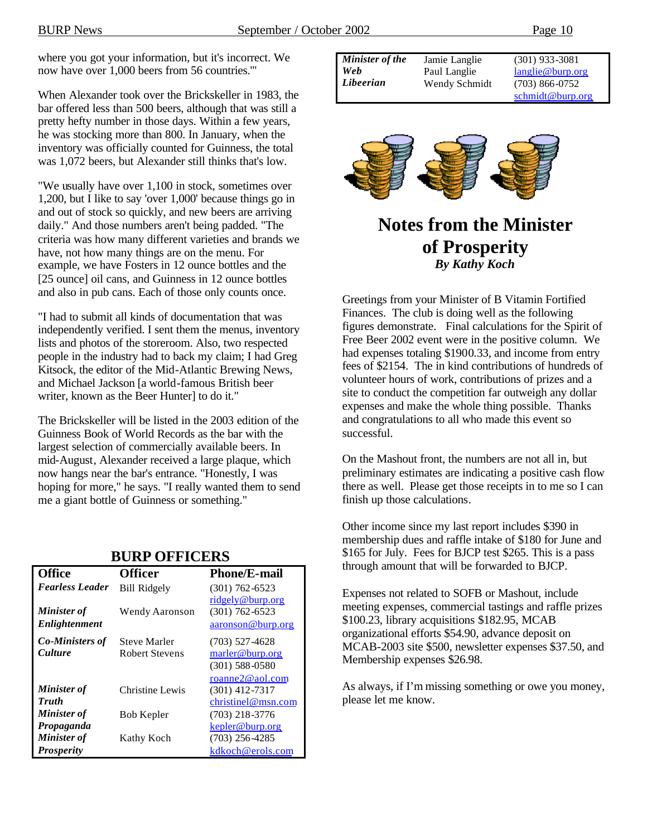where you got your information, but it's incorrect. We now have over 1,000 beers from 56 countries.'"

When Alexander took over the Brickskeller in 1983, the bar offered less than 500 beers, although that was still a pretty hefty number in those days. Within a few years, he was stocking more than 800. In January, when the inventory was officially counted for Guinness, the total was 1,072 beers, but Alexander still thinks that's low.

"We usually have over 1,100 in stock, sometimes over 1,200, but I like to say 'over 1,000' because things go in and out of stock so quickly, and new beers are arriving daily." And those numbers aren't being padded. "The criteria was how many different varieties and brands we have, not how many things are on the menu. For example, we have Fosters in 12 ounce bottles and the [25 ounce] oil cans, and Guinness in 12 ounce bottles and also in pub cans. Each of those only counts once.

"I had to submit all kinds of documentation that was independently verified. I sent them the menus, inventory lists and photos of the storeroom. Also, two respected people in the industry had to back my claim; I had Greg Kitsock, the editor of the Mid-Atlantic Brewing News, and Michael Jackson [a world-famous British beer writer, known as the Beer Hunter] to do it."

The Brickskeller will be listed in the 2003 edition of the Guinness Book of World Records as the bar with the largest selection of commercially available beers. In mid-August, Alexander received a large plaque, which now hangs near the bar's entrance. "Honestly, I was hoping for more," he says. "I really wanted them to send me a giant bottle of Guinness or something."

| DUNI UFFILEND                            |                                              |                                                           |  |  |
|------------------------------------------|----------------------------------------------|-----------------------------------------------------------|--|--|
| <b>Office</b>                            | <b>Officer</b>                               | <b>Phone/E-mail</b>                                       |  |  |
| <b>Fearless Leader</b>                   | <b>Bill Ridgely</b>                          | $(301)$ 762-6523                                          |  |  |
| <b>Minister of</b><br>Enlightenment      | Wendy Aaronson                               | ridgely@burp.org<br>$(301)$ 762-6523<br>aaronson@burp.org |  |  |
| <b>Co-Ministers of</b><br><b>Culture</b> | <b>Steve Marler</b><br><b>Robert Stevens</b> | $(703)$ 527-4628<br>marler@burp.org<br>$(301)$ 588-0580   |  |  |
| <b>Minister of</b><br><b>Truth</b>       | Christine Lewis                              | roanne2@aol.com<br>$(301)$ 412-7317<br>christinel@msn.com |  |  |
| <b>Minister of</b>                       | Bob Kepler                                   | $(703)$ 218-3776                                          |  |  |
| Propaganda                               |                                              | kepler@burp.org                                           |  |  |
| Minister of                              | Kathy Koch                                   | $(703)$ 256-4285                                          |  |  |
| <b>Prosperity</b>                        |                                              | kdkoch@erols.com                                          |  |  |

#### **BURP OFFICERS**

| <b>Minister of the</b> | Jamie Langlie | $(301)$ 933-3081 |
|------------------------|---------------|------------------|
| Web                    | Paul Langlie  | langlie@burp.org |
| Libeerian              | Wendy Schmidt | $(703)$ 866-0752 |
|                        |               | schmidt@burn.org |



### **Notes from the Minister of Prosperity** *By Kathy Koch*

Greetings from your Minister of B Vitamin Fortified Finances. The club is doing well as the following figures demonstrate. Final calculations for the Spirit of Free Beer 2002 event were in the positive column. We had expenses totaling \$1900.33, and income from entry fees of \$2154. The in kind contributions of hundreds of volunteer hours of work, contributions of prizes and a site to conduct the competition far outweigh any dollar expenses and make the whole thing possible. Thanks and congratulations to all who made this event so successful.

On the Mashout front, the numbers are not all in, but preliminary estimates are indicating a positive cash flow there as well. Please get those receipts in to me so I can finish up those calculations.

Other income since my last report includes \$390 in membership dues and raffle intake of \$180 for June and \$165 for July. Fees for BJCP test \$265. This is a pass through amount that will be forwarded to BJCP.

Expenses not related to SOFB or Mashout, include meeting expenses, commercial tastings and raffle prizes \$100.23, library acquisitions \$182.95, MCAB organizational efforts \$54.90, advance deposit on MCAB-2003 site \$500, newsletter expenses \$37.50, and Membership expenses \$26.98.

As always, if I'm missing something or owe you money, please let me know.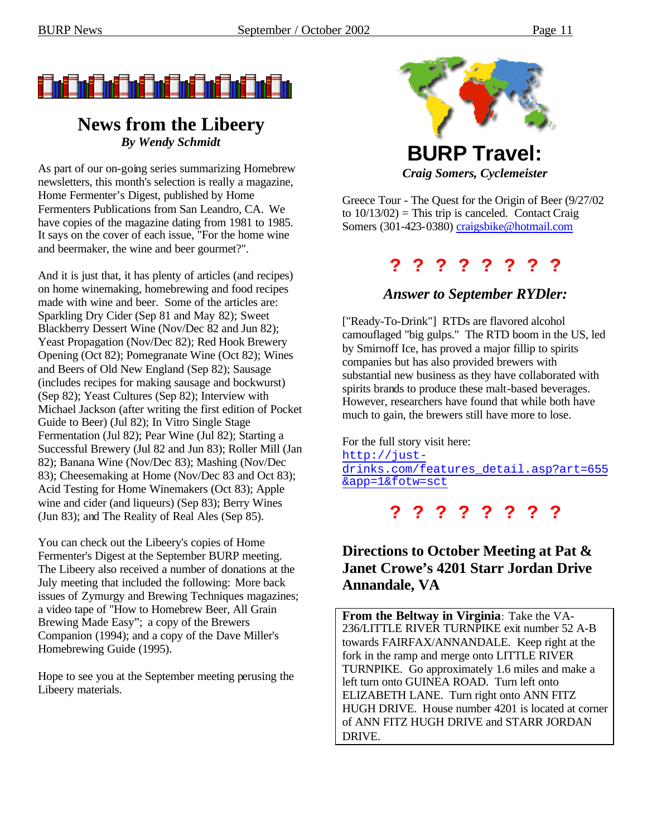

### **News from the Libeery** *By Wendy Schmidt*

As part of our on-going series summarizing Homebrew newsletters, this month's selection is really a magazine, Home Fermenter's Digest, published by Home Fermenters Publications from San Leandro, CA. We have copies of the magazine dating from 1981 to 1985. It says on the cover of each issue, "For the home wine and beermaker, the wine and beer gourmet?".

And it is just that, it has plenty of articles (and recipes) on home winemaking, homebrewing and food recipes made with wine and beer. Some of the articles are: Sparkling Dry Cider (Sep 81 and May 82); Sweet Blackberry Dessert Wine (Nov/Dec 82 and Jun 82); Yeast Propagation (Nov/Dec 82); Red Hook Brewery Opening (Oct 82); Pomegranate Wine (Oct 82); Wines and Beers of Old New England (Sep 82); Sausage (includes recipes for making sausage and bockwurst) (Sep 82); Yeast Cultures (Sep 82); Interview with Michael Jackson (after writing the first edition of Pocket Guide to Beer) (Jul 82); In Vitro Single Stage Fermentation (Jul 82); Pear Wine (Jul 82); Starting a Successful Brewery (Jul 82 and Jun 83); Roller Mill (Jan 82); Banana Wine (Nov/Dec 83); Mashing (Nov/Dec 83); Cheesemaking at Home (Nov/Dec 83 and Oct 83); Acid Testing for Home Winemakers (Oct 83); Apple wine and cider (and liqueurs) (Sep 83); Berry Wines (Jun 83); and The Reality of Real Ales (Sep 85).

You can check out the Libeery's copies of Home Fermenter's Digest at the September BURP meeting. The Libeery also received a number of donations at the July meeting that included the following: More back issues of Zymurgy and Brewing Techniques magazines; a video tape of "How to Homebrew Beer, All Grain Brewing Made Easy"; a copy of the Brewers Companion (1994); and a copy of the Dave Miller's Homebrewing Guide (1995).

Hope to see you at the September meeting perusing the Libeery materials.



*Craig Somers, Cyclemeister*

Greece Tour - The Quest for the Origin of Beer (9/27/02 to  $10/13/02$ ) = This trip is canceled. Contact Craig Somers (301-423-0380) craigsbike@hotmail.com

### **? ? ? ? ? ? ? ?**

### *Answer to September RYDler:*

["Ready-To-Drink"] RTDs are flavored alcohol camouflaged "big gulps." The RTD boom in the US, led by Smirnoff Ice, has proved a major fillip to spirits companies but has also provided brewers with substantial new business as they have collaborated with spirits brands to produce these malt-based beverages. However, researchers have found that while both have much to gain, the brewers still have more to lose.

For the full story visit here: http://justdrinks.com/features\_detail.asp?art=655 &app=1&fotw=sct

**? ? ? ? ? ? ? ?** 

### **Directions to October Meeting at Pat & Janet Crowe's 4201 Starr Jordan Drive Annandale, VA**

**From the Beltway in Virginia**: Take the VA-236/LITTLE RIVER TURNPIKE exit number 52 A-B towards FAIRFAX/ANNANDALE. Keep right at the fork in the ramp and merge onto LITTLE RIVER TURNPIKE. Go approximately 1.6 miles and make a left turn onto GUINEA ROAD. Turn left onto ELIZABETH LANE. Turn right onto ANN FITZ HUGH DRIVE. House number 4201 is located at corner of ANN FITZ HUGH DRIVE and STARR JORDAN DRIVE.